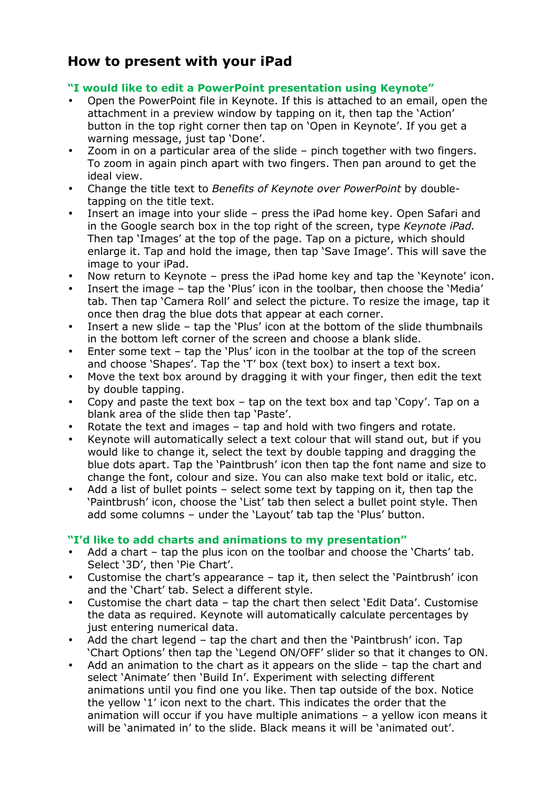# **How to present with your iPad**

#### **"I would like to edit a PowerPoint presentation using Keynote"**

- Open the PowerPoint file in Keynote. If this is attached to an email, open the attachment in a preview window by tapping on it, then tap the 'Action' button in the top right corner then tap on 'Open in Keynote'. If you get a warning message, just tap 'Done'.
- Zoom in on a particular area of the slide pinch together with two fingers. To zoom in again pinch apart with two fingers. Then pan around to get the ideal view.
- Change the title text to *Benefits of Keynote over PowerPoint* by doubletapping on the title text.
- Insert an image into your slide press the iPad home key. Open Safari and in the Google search box in the top right of the screen, type *Keynote iPad.*  Then tap 'Images' at the top of the page. Tap on a picture, which should enlarge it. Tap and hold the image, then tap 'Save Image'. This will save the image to your iPad.
- Now return to Keynote press the iPad home key and tap the 'Keynote' icon.
- Insert the image tap the 'Plus' icon in the toolbar, then choose the 'Media' tab. Then tap 'Camera Roll' and select the picture. To resize the image, tap it once then drag the blue dots that appear at each corner.
- Insert a new slide tap the 'Plus' icon at the bottom of the slide thumbnails in the bottom left corner of the screen and choose a blank slide.
- Enter some text tap the 'Plus' icon in the toolbar at the top of the screen and choose 'Shapes'. Tap the 'T' box (text box) to insert a text box.
- Move the text box around by dragging it with your finger, then edit the text by double tapping.
- Copy and paste the text box tap on the text box and tap 'Copy'. Tap on a blank area of the slide then tap 'Paste'.
- Rotate the text and images tap and hold with two fingers and rotate.
- Keynote will automatically select a text colour that will stand out, but if you would like to change it, select the text by double tapping and dragging the blue dots apart. Tap the 'Paintbrush' icon then tap the font name and size to change the font, colour and size. You can also make text bold or italic, etc.
- Add a list of bullet points select some text by tapping on it, then tap the 'Paintbrush' icon, choose the 'List' tab then select a bullet point style. Then add some columns – under the 'Layout' tab tap the 'Plus' button.

## **"I'd like to add charts and animations to my presentation"**

- Add a chart tap the plus icon on the toolbar and choose the 'Charts' tab. Select '3D', then 'Pie Chart'.
- Customise the chart's appearance tap it, then select the 'Paintbrush' icon and the 'Chart' tab. Select a different style.
- Customise the chart data tap the chart then select 'Edit Data'. Customise the data as required. Keynote will automatically calculate percentages by just entering numerical data.
- Add the chart legend tap the chart and then the 'Paintbrush' icon. Tap 'Chart Options' then tap the 'Legend ON/OFF' slider so that it changes to ON.
- Add an animation to the chart as it appears on the slide tap the chart and select 'Animate' then 'Build In'. Experiment with selecting different animations until you find one you like. Then tap outside of the box. Notice the yellow '1' icon next to the chart. This indicates the order that the animation will occur if you have multiple animations – a yellow icon means it will be 'animated in' to the slide. Black means it will be 'animated out'.